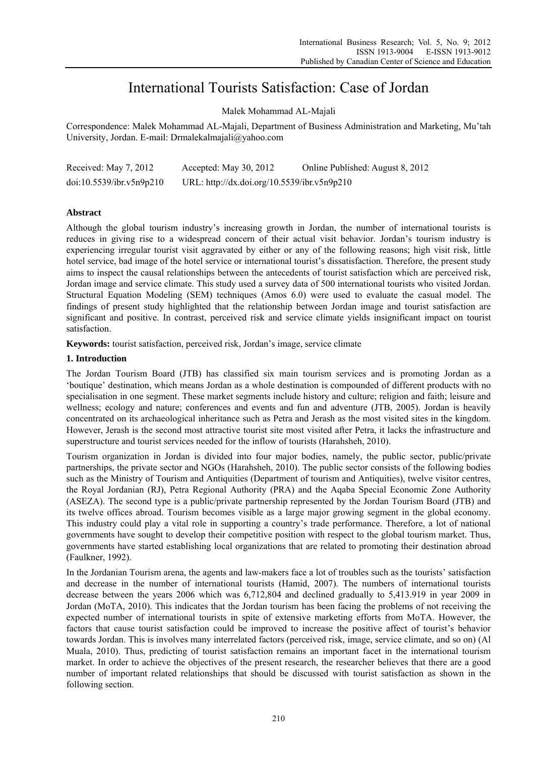# International Tourists Satisfaction: Case of Jordan

Malek Mohammad AL-Majali

Correspondence: Malek Mohammad AL-Majali, Department of Business Administration and Marketing, Mu'tah University, Jordan. E-mail: Drmalekalmajali@yahoo.com

| Received: May 7, 2012    | Accepted: May $30, 2012$                    | Online Published: August 8, 2012 |
|--------------------------|---------------------------------------------|----------------------------------|
| doi:10.5539/ibr.v5n9p210 | URL: http://dx.doi.org/10.5539/ibr.v5n9p210 |                                  |

## **Abstract**

Although the global tourism industry's increasing growth in Jordan, the number of international tourists is reduces in giving rise to a widespread concern of their actual visit behavior. Jordan's tourism industry is experiencing irregular tourist visit aggravated by either or any of the following reasons; high visit risk, little hotel service, bad image of the hotel service or international tourist's dissatisfaction. Therefore, the present study aims to inspect the causal relationships between the antecedents of tourist satisfaction which are perceived risk, Jordan image and service climate. This study used a survey data of 500 international tourists who visited Jordan. Structural Equation Modeling (SEM) techniques (Amos 6.0) were used to evaluate the casual model. The findings of present study highlighted that the relationship between Jordan image and tourist satisfaction are significant and positive. In contrast, perceived risk and service climate yields insignificant impact on tourist satisfaction.

**Keywords:** tourist satisfaction, perceived risk, Jordan's image, service climate

## **1. Introduction**

The Jordan Tourism Board (JTB) has classified six main tourism services and is promoting Jordan as a 'boutique' destination, which means Jordan as a whole destination is compounded of different products with no specialisation in one segment. These market segments include history and culture; religion and faith; leisure and wellness; ecology and nature; conferences and events and fun and adventure (JTB, 2005). Jordan is heavily concentrated on its archaeological inheritance such as Petra and Jerash as the most visited sites in the kingdom. However, Jerash is the second most attractive tourist site most visited after Petra, it lacks the infrastructure and superstructure and tourist services needed for the inflow of tourists (Harahsheh, 2010).

Tourism organization in Jordan is divided into four major bodies, namely, the public sector, public/private partnerships, the private sector and NGOs (Harahsheh, 2010). The public sector consists of the following bodies such as the Ministry of Tourism and Antiquities (Department of tourism and Antiquities), twelve visitor centres, the Royal Jordanian (RJ), Petra Regional Authority (PRA) and the Aqaba Special Economic Zone Authority (ASEZA). The second type is a public/private partnership represented by the Jordan Tourism Board (JTB) and its twelve offices abroad. Tourism becomes visible as a large major growing segment in the global economy. This industry could play a vital role in supporting a country's trade performance. Therefore, a lot of national governments have sought to develop their competitive position with respect to the global tourism market. Thus, governments have started establishing local organizations that are related to promoting their destination abroad (Faulkner, 1992).

In the Jordanian Tourism arena, the agents and law-makers face a lot of troubles such as the tourists' satisfaction and decrease in the number of international tourists (Hamid, 2007). The numbers of international tourists decrease between the years 2006 which was 6,712,804 and declined gradually to 5,413.919 in year 2009 in Jordan (MoTA, 2010). This indicates that the Jordan tourism has been facing the problems of not receiving the expected number of international tourists in spite of extensive marketing efforts from MoTA. However, the factors that cause tourist satisfaction could be improved to increase the positive affect of tourist's behavior towards Jordan. This is involves many interrelated factors (perceived risk, image, service climate, and so on) (Al Muala, 2010). Thus, predicting of tourist satisfaction remains an important facet in the international tourism market. In order to achieve the objectives of the present research, the researcher believes that there are a good number of important related relationships that should be discussed with tourist satisfaction as shown in the following section.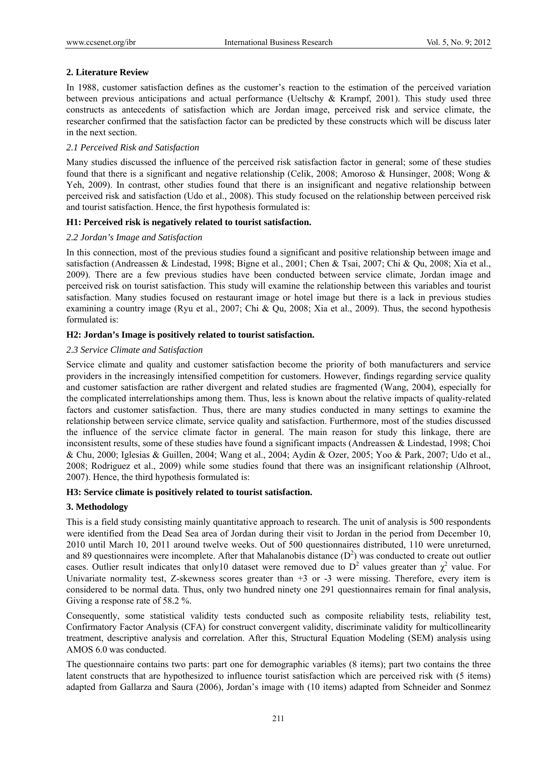## **2. Literature Review**

In 1988, customer satisfaction defines as the customer's reaction to the estimation of the perceived variation between previous anticipations and actual performance (Ueltschy & Krampf, 2001). This study used three constructs as antecedents of satisfaction which are Jordan image, perceived risk and service climate, the researcher confirmed that the satisfaction factor can be predicted by these constructs which will be discuss later in the next section.

#### *2.1 Perceived Risk and Satisfaction*

Many studies discussed the influence of the perceived risk satisfaction factor in general; some of these studies found that there is a significant and negative relationship (Celik, 2008; Amoroso & Hunsinger, 2008; Wong & Yeh, 2009). In contrast, other studies found that there is an insignificant and negative relationship between perceived risk and satisfaction (Udo et al., 2008). This study focused on the relationship between perceived risk and tourist satisfaction. Hence, the first hypothesis formulated is:

## **H1: Perceived risk is negatively related to tourist satisfaction.**

#### *2.2 Jordan's Image and Satisfaction*

In this connection, most of the previous studies found a significant and positive relationship between image and satisfaction (Andreassen & Lindestad, 1998; Bigne et al., 2001; Chen & Tsai, 2007; Chi & Qu, 2008; Xia et al., 2009). There are a few previous studies have been conducted between service climate, Jordan image and perceived risk on tourist satisfaction. This study will examine the relationship between this variables and tourist satisfaction. Many studies focused on restaurant image or hotel image but there is a lack in previous studies examining a country image (Ryu et al., 2007; Chi & Qu, 2008; Xia et al., 2009). Thus, the second hypothesis formulated is:

## **H2: Jordan's Image is positively related to tourist satisfaction.**

## *2.3 Service Climate and Satisfaction*

Service climate and quality and customer satisfaction become the priority of both manufacturers and service providers in the increasingly intensified competition for customers. However, findings regarding service quality and customer satisfaction are rather divergent and related studies are fragmented (Wang, 2004), especially for the complicated interrelationships among them. Thus, less is known about the relative impacts of quality-related factors and customer satisfaction. Thus, there are many studies conducted in many settings to examine the relationship between service climate, service quality and satisfaction. Furthermore, most of the studies discussed the influence of the service climate factor in general. The main reason for study this linkage, there are inconsistent results, some of these studies have found a significant impacts (Andreassen & Lindestad, 1998; Choi & Chu, 2000; Iglesias & Guillen, 2004; Wang et al., 2004; Aydin & Ozer, 2005; Yoo & Park, 2007; Udo et al., 2008; Rodriguez et al., 2009) while some studies found that there was an insignificant relationship (Alhroot, 2007). Hence, the third hypothesis formulated is:

#### **H3: Service climate is positively related to tourist satisfaction.**

#### **3. Methodology**

This is a field study consisting mainly quantitative approach to research. The unit of analysis is 500 respondents were identified from the Dead Sea area of Jordan during their visit to Jordan in the period from December 10, 2010 until March 10, 2011 around twelve weeks. Out of 500 questionnaires distributed, 110 were unreturned, and 89 questionnaires were incomplete. After that Mahalanobis distance  $(D^2)$  was conducted to create out outlier cases. Outlier result indicates that only10 dataset were removed due to  $D^2$  values greater than  $\chi^2$  value. For Univariate normality test, Z-skewness scores greater than +3 or -3 were missing. Therefore, every item is considered to be normal data. Thus, only two hundred ninety one 291 questionnaires remain for final analysis, Giving a response rate of 58.2 %.

Consequently, some statistical validity tests conducted such as composite reliability tests, reliability test, Confirmatory Factor Analysis (CFA) for construct convergent validity, discriminate validity for multicollinearity treatment, descriptive analysis and correlation. After this, Structural Equation Modeling (SEM) analysis using AMOS 6.0 was conducted.

The questionnaire contains two parts: part one for demographic variables (8 items); part two contains the three latent constructs that are hypothesized to influence tourist satisfaction which are perceived risk with (5 items) adapted from Gallarza and Saura (2006), Jordan's image with (10 items) adapted from Schneider and Sonmez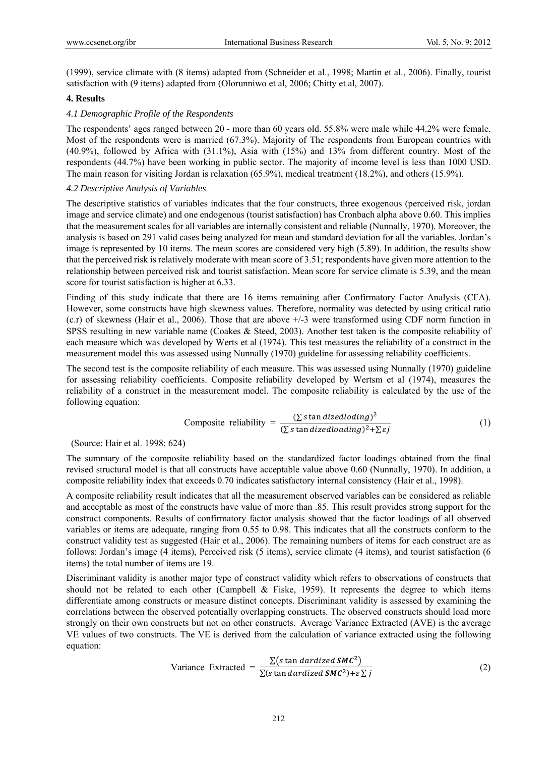(1999), service climate with (8 items) adapted from (Schneider et al., 1998; Martin et al., 2006). Finally, tourist satisfaction with (9 items) adapted from (Olorunniwo et al, 2006; Chitty et al, 2007).

#### **4. Results**

#### *4.1 Demographic Profile of the Respondents*

The respondents' ages ranged between 20 - more than 60 years old. 55.8% were male while 44.2% were female. Most of the respondents were is married (67.3%). Majority of The respondents from European countries with (40.9%), followed by Africa with (31.1%), Asia with (15%) and 13% from different country. Most of the respondents (44.7%) have been working in public sector. The majority of income level is less than 1000 USD. The main reason for visiting Jordan is relaxation (65.9%), medical treatment (18.2%), and others (15.9%).

## *4.2 Descriptive Analysis of Variables*

The descriptive statistics of variables indicates that the four constructs, three exogenous (perceived risk, jordan image and service climate) and one endogenous (tourist satisfaction) has Cronbach alpha above 0.60. This implies that the measurement scales for all variables are internally consistent and reliable (Nunnally, 1970). Moreover, the analysis is based on 291 valid cases being analyzed for mean and standard deviation for all the variables. Jordan's image is represented by 10 items. The mean scores are considered very high (5.89). In addition, the results show that the perceived risk is relatively moderate with mean score of 3.51; respondents have given more attention to the relationship between perceived risk and tourist satisfaction. Mean score for service climate is 5.39, and the mean score for tourist satisfaction is higher at 6.33.

Finding of this study indicate that there are 16 items remaining after Confirmatory Factor Analysis (CFA). However, some constructs have high skewness values. Therefore, normality was detected by using critical ratio (c.r) of skewness (Hair et al., 2006). Those that are above +/-3 were transformed using CDF norm function in SPSS resulting in new variable name (Coakes & Steed, 2003). Another test taken is the composite reliability of each measure which was developed by Werts et al (1974). This test measures the reliability of a construct in the measurement model this was assessed using Nunnally (1970) guideline for assessing reliability coefficients.

The second test is the composite reliability of each measure. This was assessed using Nunnally (1970) guideline for assessing reliability coefficients. Composite reliability developed by Wertsm et al (1974), measures the reliability of a construct in the measurement model. The composite reliability is calculated by the use of the following equation:

Composite reliability = 
$$
\frac{(\sum \text{ s tan } \text{dized} \text{loading})^2}{(\sum \text{ s tan } \text{dized} \text{loading})^2 + \sum \text{g} \text{f}} \tag{1}
$$

(Source: Hair et al. 1998: 624)

The summary of the composite reliability based on the standardized factor loadings obtained from the final revised structural model is that all constructs have acceptable value above 0.60 (Nunnally, 1970). In addition, a composite reliability index that exceeds 0.70 indicates satisfactory internal consistency (Hair et al., 1998).

A composite reliability result indicates that all the measurement observed variables can be considered as reliable and acceptable as most of the constructs have value of more than .85. This result provides strong support for the construct components. Results of confirmatory factor analysis showed that the factor loadings of all observed variables or items are adequate, ranging from 0.55 to 0.98. This indicates that all the constructs conform to the construct validity test as suggested (Hair et al., 2006). The remaining numbers of items for each construct are as follows: Jordan's image (4 items), Perceived risk (5 items), service climate (4 items), and tourist satisfaction (6 items) the total number of items are 19.

Discriminant validity is another major type of construct validity which refers to observations of constructs that should not be related to each other (Campbell  $\&$  Fiske, 1959). It represents the degree to which items differentiate among constructs or measure distinct concepts. Discriminant validity is assessed by examining the correlations between the observed potentially overlapping constructs. The observed constructs should load more strongly on their own constructs but not on other constructs. Average Variance Extracted (AVE) is the average VE values of two constructs. The VE is derived from the calculation of variance extracted using the following equation:

Variance Extracted = 
$$
\frac{\sum (s \tan dardized \, \text{SMC}^2)}{\sum (s \tan dardized \, \text{SMC}^2) + \epsilon \sum j}
$$
 (2)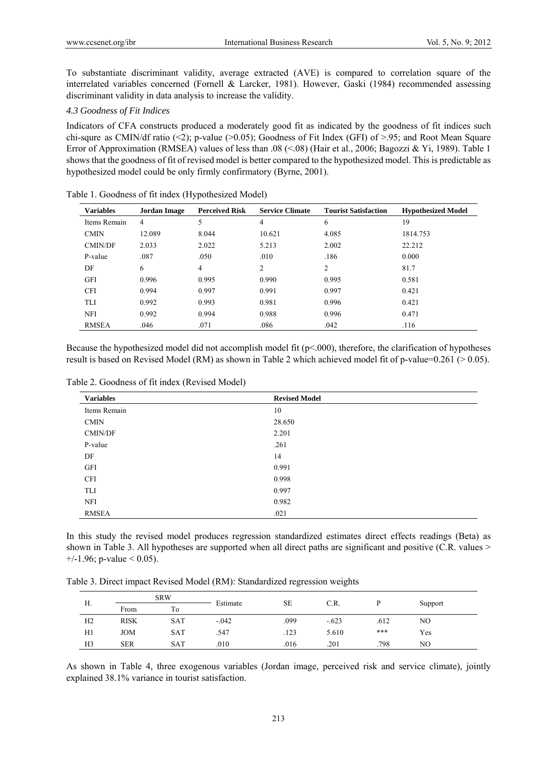To substantiate discriminant validity, average extracted (AVE) is compared to correlation square of the interrelated variables concerned (Fornell & Larcker, 1981). However, Gaski (1984) recommended assessing discriminant validity in data analysis to increase the validity.

#### *4.3 Goodness of Fit Indices*

Indicators of CFA constructs produced a moderately good fit as indicated by the goodness of fit indices such chi-squre as CMIN/df ratio (<2); p-value (>0.05); Goodness of Fit Index (GFI) of >.95; and Root Mean Square Error of Approximation (RMSEA) values of less than .08 (<.08) (Hair et al., 2006; Bagozzi & Yi, 1989). Table 1 shows that the goodness of fit of revised model is better compared to the hypothesized model. This is predictable as hypothesized model could be only firmly confirmatory (Byrne, 2001).

| <b>Variables</b> | <b>Jordan Image</b> | <b>Perceived Risk</b> | <b>Service Climate</b> | <b>Tourist Satisfaction</b> | <b>Hypothesized Model</b> |
|------------------|---------------------|-----------------------|------------------------|-----------------------------|---------------------------|
| Items Remain     | 4                   | 5                     | 4                      | 6                           | 19                        |
| <b>CMIN</b>      | 12.089              | 8.044                 | 10.621                 | 4.085                       | 1814.753                  |
| <b>CMIN/DF</b>   | 2.033               | 2.022                 | 5.213                  | 2.002                       | 22.212                    |
| P-value          | .087                | .050                  | .010                   | .186                        | 0.000                     |
| DF               | 6                   | $\overline{4}$        | $\overline{2}$         | $\overline{2}$              | 81.7                      |
| <b>GFI</b>       | 0.996               | 0.995                 | 0.990                  | 0.995                       | 0.581                     |
| <b>CFI</b>       | 0.994               | 0.997                 | 0.991                  | 0.997                       | 0.421                     |
| TLI              | 0.992               | 0.993                 | 0.981                  | 0.996                       | 0.421                     |
| <b>NFI</b>       | 0.992               | 0.994                 | 0.988                  | 0.996                       | 0.471                     |
| <b>RMSEA</b>     | .046                | .071                  | .086                   | .042                        | .116                      |

Table 1. Goodness of fit index (Hypothesized Model)

Because the hypothesized model did not accomplish model fit  $(p<.000)$ , therefore, the clarification of hypotheses result is based on Revised Model (RM) as shown in Table 2 which achieved model fit of p-value=0.261 ( $> 0.05$ ).

| <b>Variables</b> | <b>Revised Model</b> |
|------------------|----------------------|
| Items Remain     | 10                   |
| <b>CMIN</b>      | 28.650               |
| CMIN/DF          | 2.201                |
| P-value          | .261                 |
| DF               | 14                   |
| <b>GFI</b>       | 0.991                |
| <b>CFI</b>       | 0.998                |
| TLI              | 0.997                |
| <b>NFI</b>       | 0.982                |
| <b>RMSEA</b>     | .021                 |

Table 2. Goodness of fit index (Revised Model)

In this study the revised model produces regression standardized estimates direct effects readings (Beta) as shown in Table 3. All hypotheses are supported when all direct paths are significant and positive (C.R. values >  $+/-1.96$ ; p-value < 0.05).

Table 3. Direct impact Revised Model (RM): Standardized regression weights

| Н.             |             | <b>SRW</b> |          |           |         |      |     |         |
|----------------|-------------|------------|----------|-----------|---------|------|-----|---------|
|                | From        | Τō         | Estimate | <b>SE</b> | C.R.    |      |     | Support |
| H2             | <b>RISK</b> | SAT        | $-.042$  | .099      | $-.623$ | .612 | NO  |         |
| H1             | <b>JOM</b>  | <b>SAT</b> | .547     | .123      | 5.610   | ***  | Yes |         |
| H <sub>3</sub> | <b>SER</b>  | <b>SAT</b> | .010     | .016      | .201    | .798 | NO  |         |

As shown in Table 4, three exogenous variables (Jordan image, perceived risk and service climate), jointly explained 38.1% variance in tourist satisfaction.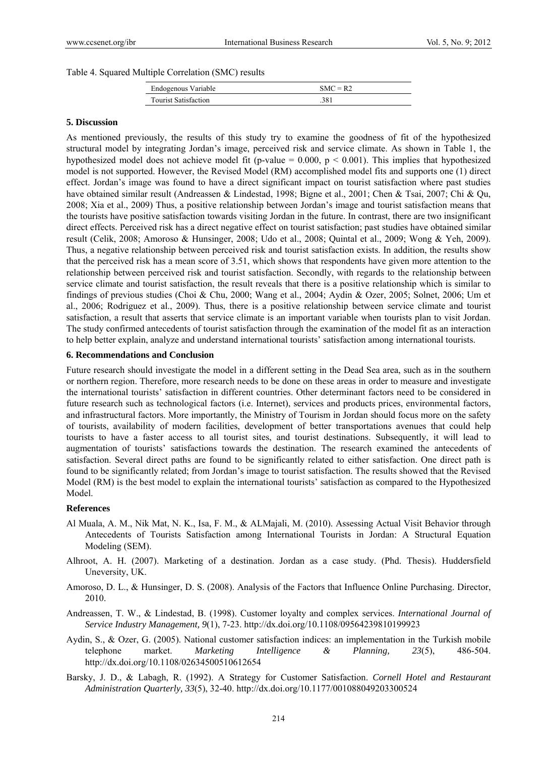#### Table 4. Squared Multiple Correlation (SMC) results

| Endogenous Variable         | $SMC = R2$ |
|-----------------------------|------------|
| <b>Tourist Satisfaction</b> | .381       |

#### **5. Discussion**

As mentioned previously, the results of this study try to examine the goodness of fit of the hypothesized structural model by integrating Jordan's image, perceived risk and service climate. As shown in Table 1, the hypothesized model does not achieve model fit (p-value = 0.000,  $p < 0.001$ ). This implies that hypothesized model is not supported. However, the Revised Model (RM) accomplished model fits and supports one (1) direct effect. Jordan's image was found to have a direct significant impact on tourist satisfaction where past studies have obtained similar result (Andreassen & Lindestad, 1998; Bigne et al., 2001; Chen & Tsai, 2007; Chi & Qu, 2008; Xia et al., 2009) Thus, a positive relationship between Jordan's image and tourist satisfaction means that the tourists have positive satisfaction towards visiting Jordan in the future. In contrast, there are two insignificant direct effects. Perceived risk has a direct negative effect on tourist satisfaction; past studies have obtained similar result (Celik, 2008; Amoroso & Hunsinger, 2008; Udo et al., 2008; Quintal et al., 2009; Wong & Yeh, 2009). Thus, a negative relationship between perceived risk and tourist satisfaction exists. In addition, the results show that the perceived risk has a mean score of 3.51, which shows that respondents have given more attention to the relationship between perceived risk and tourist satisfaction. Secondly, with regards to the relationship between service climate and tourist satisfaction, the result reveals that there is a positive relationship which is similar to findings of previous studies (Choi & Chu, 2000; Wang et al., 2004; Aydin & Ozer, 2005; Solnet, 2006; Um et al., 2006; Rodriguez et al., 2009). Thus, there is a positive relationship between service climate and tourist satisfaction, a result that asserts that service climate is an important variable when tourists plan to visit Jordan. The study confirmed antecedents of tourist satisfaction through the examination of the model fit as an interaction to help better explain, analyze and understand international tourists' satisfaction among international tourists.

#### **6. Recommendations and Conclusion**

Future research should investigate the model in a different setting in the Dead Sea area, such as in the southern or northern region. Therefore, more research needs to be done on these areas in order to measure and investigate the international tourists' satisfaction in different countries. Other determinant factors need to be considered in future research such as technological factors (i.e. Internet), services and products prices, environmental factors, and infrastructural factors. More importantly, the Ministry of Tourism in Jordan should focus more on the safety of tourists, availability of modern facilities, development of better transportations avenues that could help tourists to have a faster access to all tourist sites, and tourist destinations. Subsequently, it will lead to augmentation of tourists' satisfactions towards the destination. The research examined the antecedents of satisfaction. Several direct paths are found to be significantly related to either satisfaction. One direct path is found to be significantly related; from Jordan's image to tourist satisfaction. The results showed that the Revised Model (RM) is the best model to explain the international tourists' satisfaction as compared to the Hypothesized Model.

#### **References**

- Al Muala, A. M., Nik Mat, N. K., Isa, F. M., & ALMajali, M. (2010). Assessing Actual Visit Behavior through Antecedents of Tourists Satisfaction among International Tourists in Jordan: A Structural Equation Modeling (SEM).
- Alhroot, A. H. (2007). Marketing of a destination. Jordan as a case study. (Phd. Thesis). Huddersfield Uneversity, UK.
- Amoroso, D. L., & Hunsinger, D. S. (2008). Analysis of the Factors that Influence Online Purchasing. Director, 2010.
- Andreassen, T. W., & Lindestad, B. (1998). Customer loyalty and complex services. *International Journal of Service Industry Management, 9*(1), 7-23. http://dx.doi.org/10.1108/09564239810199923
- Aydin, S., & Ozer, G. (2005). National customer satisfaction indices: an implementation in the Turkish mobile telephone market. *Marketing Intelligence & Planning, 23*(5), 486-504. http://dx.doi.org/10.1108/02634500510612654
- Barsky, J. D., & Labagh, R. (1992). A Strategy for Customer Satisfaction. *Cornell Hotel and Restaurant Administration Quarterly, 33*(5), 32-40. http://dx.doi.org/10.1177/001088049203300524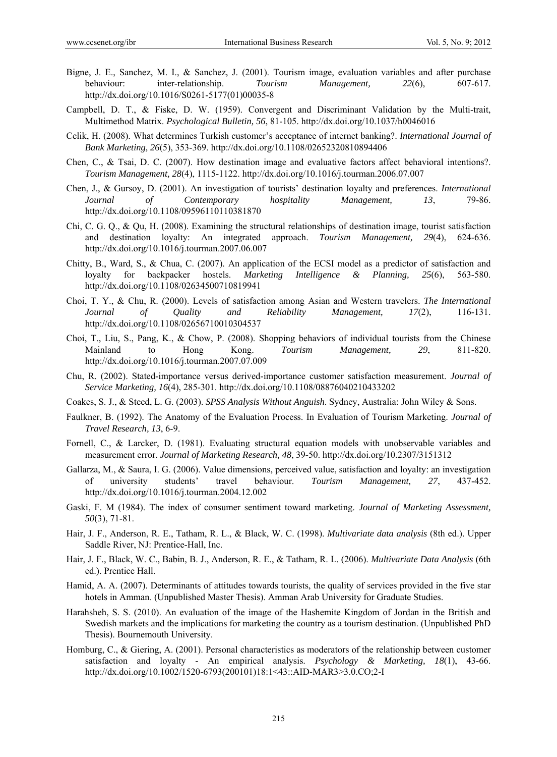- Bigne, J. E., Sanchez, M. I., & Sanchez, J. (2001). Tourism image, evaluation variables and after purchase behaviour: inter-relationship. *Tourism Management, 22*(6), 607-617. http://dx.doi.org/10.1016/S0261-5177(01)00035-8
- Campbell, D. T., & Fiske, D. W. (1959). Convergent and Discriminant Validation by the Multi-trait, Multimethod Matrix. *Psychological Bulletin, 56*, 81-105. http://dx.doi.org/10.1037/h0046016
- Celik, H. (2008). What determines Turkish customer's acceptance of internet banking?. *International Journal of Bank Marketing, 26*(5), 353-369. http://dx.doi.org/10.1108/02652320810894406
- Chen, C., & Tsai, D. C. (2007). How destination image and evaluative factors affect behavioral intentions?. *Tourism Management, 28*(4), 1115-1122. http://dx.doi.org/10.1016/j.tourman.2006.07.007
- Chen, J., & Gursoy, D. (2001). An investigation of tourists' destination loyalty and preferences. *International Journal of Contemporary hospitality Management, 13*, 79-86. http://dx.doi.org/10.1108/09596110110381870
- Chi, C. G. Q., & Qu, H. (2008). Examining the structural relationships of destination image, tourist satisfaction and destination loyalty: An integrated approach. *Tourism Management, 29*(4), 624-636. http://dx.doi.org/10.1016/j.tourman.2007.06.007
- Chitty, B., Ward, S., & Chua, C. (2007). An application of the ECSI model as a predictor of satisfaction and loyalty for backpacker hostels. *Marketing Intelligence & Planning, 25*(6), 563-580. http://dx.doi.org/10.1108/02634500710819941
- Choi, T. Y., & Chu, R. (2000). Levels of satisfaction among Asian and Western travelers. *The International Journal of Quality and Reliability Management, 17*(2), 116-131. http://dx.doi.org/10.1108/02656710010304537
- Choi, T., Liu, S., Pang, K., & Chow, P. (2008). Shopping behaviors of individual tourists from the Chinese Mainland to Hong Kong. *Tourism Management, 29*, 811-820. http://dx.doi.org/10.1016/j.tourman.2007.07.009
- Chu, R. (2002). Stated-importance versus derived-importance customer satisfaction measurement. *Journal of Service Marketing, 16*(4), 285-301. http://dx.doi.org/10.1108/08876040210433202
- Coakes, S. J., & Steed, L. G. (2003). *SPSS Analysis Without Anguish*. Sydney, Australia: John Wiley & Sons.
- Faulkner, B. (1992). The Anatomy of the Evaluation Process. In Evaluation of Tourism Marketing. *Journal of Travel Research, 13*, 6-9.
- Fornell, C., & Larcker, D. (1981). Evaluating structural equation models with unobservable variables and measurement error. *Journal of Marketing Research, 48*, 39-50. http://dx.doi.org/10.2307/3151312
- Gallarza, M., & Saura, I. G. (2006). Value dimensions, perceived value, satisfaction and loyalty: an investigation of university students' travel behaviour. *Tourism Management, 27*, 437-452. http://dx.doi.org/10.1016/j.tourman.2004.12.002
- Gaski, F. M (1984). The index of consumer sentiment toward marketing. *Journal of Marketing Assessment, 50*(3), 71-81.
- Hair, J. F., Anderson, R. E., Tatham, R. L., & Black, W. C. (1998). *Multivariate data analysis* (8th ed.). Upper Saddle River, NJ: Prentice-Hall, Inc.
- Hair, J. F., Black, W. C., Babin, B. J., Anderson, R. E., & Tatham, R. L. (2006). *Multivariate Data Analysis* (6th ed.). Prentice Hall.
- Hamid, A. A. (2007). Determinants of attitudes towards tourists, the quality of services provided in the five star hotels in Amman. (Unpublished Master Thesis). Amman Arab University for Graduate Studies.
- Harahsheh, S. S. (2010). An evaluation of the image of the Hashemite Kingdom of Jordan in the British and Swedish markets and the implications for marketing the country as a tourism destination. (Unpublished PhD Thesis). Bournemouth University.
- Homburg, C., & Giering, A. (2001). Personal characteristics as moderators of the relationship between customer satisfaction and loyalty - An empirical analysis. *Psychology & Marketing, 18*(1), 43-66. http://dx.doi.org/10.1002/1520-6793(200101)18:1<43::AID-MAR3>3.0.CO;2-I